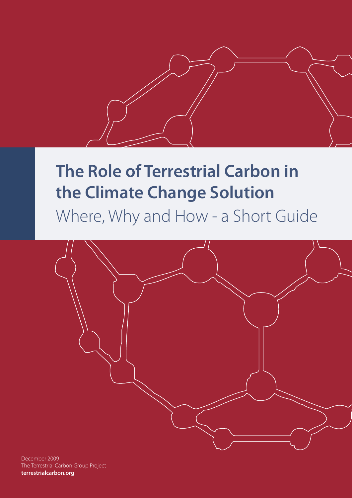

# **The Role of Terrestrial Carbon in the Climate Change Solution**

Where, Why and How - a Short Guide



December 2009 The Terrestrial Carbon Group Project **terrestrialcarbon.org**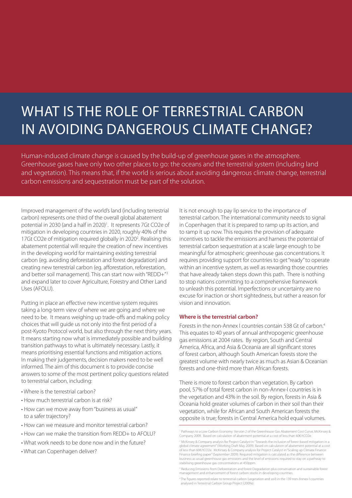## WHAT IS THE ROLE OF TERRESTRIAL CARBON in avoiding dangerous climate change?

Human-induced climate change is caused by the build-up of greenhouse gases in the atmosphere. Greenhouse gases have only two other places to go: the oceans and the terrestrial system (including land and vegetation). This means that, if the world is serious about avoiding dangerous climate change, terrestrial carbon emissions and sequestration must be part of the solution.

Improved management of the world's land (including terrestrial carbon) represents one third of the overall global abatement potential in 2030 (and a half in 2020)<sup>1</sup>. It represents 7Gt CO2e of mitigation in developing countries in 2020, roughly 40% of the 17Gt CO2e of mitigation required globally in 2020<sup>2</sup>. Realising this abatement potential will require the creation of new incentives in the developing world for maintaining existing terrestrial carbon (eg. avoiding deforestation and forest degradation) and creating new terrestrial carbon (eg. afforestation, reforestation, and better soil management). This can start now with "REDD+"<sup>3</sup> and expand later to cover Agriculture, Forestry and Other Land Uses (AFOLU).

Putting in place an effective new incentive system requires taking a long-term view of where we are going and where we need to be. It means weighing up trade-offs and making policy choices that will guide us not only into the first period of a post-Kyoto Protocol world, but also through the next thirty years. It means starting now what is immediately possible and building transition pathways to what is ultimately necessary. Lastly, it means prioritising essential functions and mitigation actions. In making their judgements, decision makers need to be well informed. The aim of this document is to provide concise answers to some of the most pertinent policy questions related to terrestrial carbon, including:

- Where is the terrestrial carbon?
- How much terrestrial carbon is at risk?
- How can we move away from "business as usual" to a safer trajectory?
- How can we measure and monitor terrestrial carbon?
- How can we make the transition from REDD+ to AEOLU?
- What work needs to be done now and in the future?
- What can Copenhagen deliver?

It is not enough to pay lip service to the importance of terrestrial carbon. The international community needs to signal in Copenhagen that it is prepared to ramp up its action, and to ramp it up now. This requires the provision of adequate incentives to tackle the emissions and harness the potential of terrestrial carbon sequestration at a scale large enough to be meaningful for atmospheric greenhouse gas concentrations. It requires providing support for countries to get "ready" to operate within an incentive system, as well as rewarding those countries that have already taken steps down this path. There is nothing to stop nations committing to a comprehensive framework to unleash this potential. Imperfections or uncertainty are no excuse for inaction or short sightedness, but rather a reason for vision and innovation.

#### **Where is the terrestrial carbon?**

Forests in the non-Annex I countries contain 538 Gt of carbon.4 This equates to 40 years of annual anthropogenic greenhouse gas emissions at 2004 rates. By region, South and Central America, Africa, and Asia & Oceania are all significant stores of forest carbon, although South American forests store the greatest volume with nearly twice as much as Asian & Oceanian forests and one-third more than African forests.

There is more to forest carbon than vegetation. By carbon pool, 57% of total forest carbon in non-Annex-I countries is in the vegetation and 43% in the soil. By region, forests in Asia & Oceania hold greater volumes of carbon in their soil than their vegetation, while for African and South American forests the opposite is true; forests in Central America hold equal volumes.

<sup>1</sup> Pathways to a Low Carbon Economy: Version 2 of the Greenhouse Gas Abatement Cost Curve, McKinsey & Company 2009. Based on calculation of abatement potential at a cost of less than 60€/tCO2e.

<sup>&</sup>lt;sup>2</sup> McKinsey & Company analysis for Project Catalyst in "Towards the inclusion of forest-based mitigation in a global climate agreement" (Working Draft May 2009). Based on calculation of abatement potential at a cost<br>of less than 60€/tCO2e. McKinsey & Company analysis for Project Catalyst in "Scaling up Climate Finance: Finance briefing paper" (September 2009). Required mitigation is calculated as the difference betwe business as usual greenhouse gas emissions and the level of emissions required to stay on a pathway to stabilising greenhouse gas concentrations at 450ppm.

<sup>&</sup>lt;sup>3</sup> Reducing Emissions from Deforestation and forest Degradation plus conservation and sustainable forest management and enhancement of forest carbon stocks in developing countries.

<sup>4</sup> The figures reported relate to terrestrial carbon (vegetation and soil) in the 139 non-Annex-I countries analysed in Terrestrial Carbon Group Project (2009a).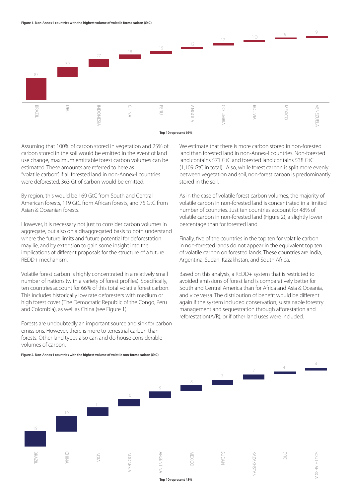

Assuming that 100% of carbon stored in vegetation and 25% of carbon stored in the soil would be emitted in the event of land use change, maximum emittable forest carbon volumes can be estimated. These amounts are referred to here as "volatile carbon". If all forested land in non-Annex-I countries were deforested, 363 Gt of carbon would be emitted.

By region, this would be 169 GtC from South and Central American forests, 119 GtC from African forests, and 75 GtC from Asian & Oceanian forests.

However, it is necessary not just to consider carbon volumes in aggregate, but also on a disaggregated basis to both understand where the future limits and future potential for deforestation may lie, and by extension to gain some insight into the implications of different proposals for the structure of a future REDD+ mechanism.

Volatile forest carbon is highly concentrated in a relatively small number of nations (with a variety of forest profiles). Specifically, ten countries account for 66% of this total volatile forest carbon. This includes historically low rate deforesters with medium or high forest cover (The Democratic Republic of the Congo, Peru and Colombia), as well as China (see Figure 1).

Forests are undoubtedly an important source and sink for carbon emissions. However, there is more to terrestrial carbon than forests. Other land types also can and do house considerable volumes of carbon.

We estimate that there is more carbon stored in non-forested land than forested land in non-Annex-I countries. Non-forested land contains 571 GtC and forested land contains 538 GtC (1,109 GtC in total). Also, while forest carbon is split more evenly between vegetation and soil, non-forest carbon is predominantly stored in the soil.

As in the case of volatile forest carbon volumes, the majority of volatile carbon in non-forested land is concentrated in a limited number of countries. Just ten countries account for 48% of volatile carbon in non-forested land (Figure 2), a slightly lower percentage than for forested land.

Finally, five of the countries in the top ten for volatile carbon in non-forested lands do not appear in the equivalent top ten of volatile carbon on forested lands. These countries are India, Argentina, Sudan, Kazakhstan, and South Africa.

Based on this analysis, a REDD+ system that is restricted to avoided emissions of forest land is comparatively better for South and Central America than for Africa and Asia & Oceania, and vice versa. The distribution of benefit would be different again if the system included conservation, sustainable forestry management and sequestration through afforestation and reforestation(A/R), or if other land uses were included.



**Figure 2. Non-Annex-I countries with the highest volume of volatile non-forest carbon (GtC)**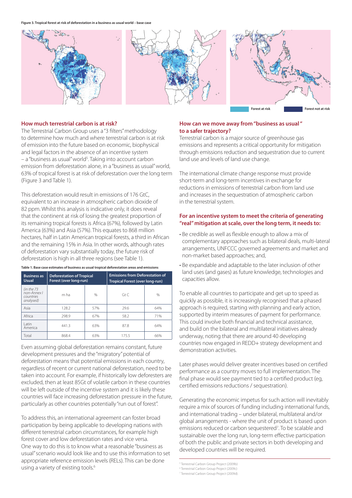

#### **How much terrestrial carbon is at risk?**

The Terrestrial Carbon Group uses a "3 filters" methodology to determine how much and where terrestrial carbon is at risk of emission into the future based on economic, biophysical and legal factors in the absence of an incentive system – a "business as usual" world<sup>5</sup>. Taking into account carbon emission from deforestation alone, in a "business as usual" world, 63% of tropical forest is at risk of deforestation over the long term (Figure 3 and Table 1).

This deforestation would result in emissions of 176 GtC, equivalent to an increase in atmospheric carbon dioxide of 82 ppm. Whilst this analysis is indicative only, it does reveal that the continent at risk of losing the greatest proportion of its remaining tropical forests is Africa (67%), followed by Latin America (63%) and Asia (57%). This equates to 868 million hectares, half in Latin American tropical forests, a third in African and the remaining 15% in Asia. In other words, although rates of deforestation vary substantially today, the future risk of deforestation is high in all three regions (see Table 1).

| <b>Business as</b><br><b>Usual</b>                   | <b>Deforestation of Tropical</b><br>Forest (over long-run) |               | <b>Emissions from Deforestation of</b><br>Tropical Forest (over long-run) |      |
|------------------------------------------------------|------------------------------------------------------------|---------------|---------------------------------------------------------------------------|------|
| (in the 73)<br>non-Annex I<br>countries<br>analysed) | m ha                                                       | $\frac{0}{0}$ | GtC                                                                       | $\%$ |
| Asia                                                 | 128.2                                                      | 57%           | 29.6                                                                      | 64%  |
| Africa                                               | 298.9                                                      | 67%           | 58.2                                                                      | 71%  |
| Latin<br>America                                     | 441.3                                                      | 63%           | 87.8                                                                      | 64%  |
| Total                                                | 868.4                                                      | 63%           | 175.5                                                                     | 66%  |

**Table 1. Base case estimates of business as usual tropical deforestation areas and emissions**

Even assuming global deforestation remains constant, future development pressures and the "migratory" potential of deforestation means that potential emissions in each country, regardless of recent or current national deforestation, need to be taken into account. For example, if historically low deforesters are excluded, then at least 85Gt of volatile carbon in these countries will be left outside of the incentive system and it is likely these countries will face increasing deforestation pressure in the future, particularly as other countries potentially "run out of forest".

To address this, an international agreement can foster broad participation by being applicable to developing nations with different terrestrial carbon circumstances, for example high forest cover and low deforestation rates and vice versa. One way to do this is to know what a reasonable "business as usual" scenario would look like and to use this information to set appropriate reference emission levels (RELs). This can be done using a variety of existing tools.<sup>6</sup>

#### **How can we move away from "business as usual " to a safer trajectory?**

Terrestrial carbon is a major source of greenhouse gas emissions and represents a critical opportunity for mitigation through emissions reduction and sequestration due to current land use and levels of land use change.

The international climate change response must provide short-term and long-term incentives in exchange for reductions in emissions of terrestrial carbon from land use and increases in the sequestration of atmospheric carbon in the terrestrial system.

#### **For an incentive system to meet the criteria of generating "real" mitigation at scale, over the long term, it needs to:**

- Be credible as well as flexible enough to allow a mix of complementary approaches such as bilateral deals, multi-lateral arrangements, UNFCCC governed agreements and market and non-market based approaches; and,
- Be expandable and adaptable to the later inclusion of other land uses (and gases) as future knowledge, technologies and capacities allow.

To enable all countries to participate and get up to speed as quickly as possible, it is increasingly recognised that a phased approach is required, starting with planning and early action, supported by interim measures of payment for performance. This could involve both financial and technical assistance, and build on the bilateral and multilateral initiatives already underway, noting that there are around 40 developing countries now engaged in REDD+ strategy development and demonstration activities.

Later phases would deliver greater incentives based on certified performance as a country moves to full implementation. The final phase would see payment tied to a certified product (eg, certified emissions reductions / sequestration).

Generating the economic impetus for such action will inevitably require a mix of sources of funding including international funds, and international trading – under bilateral, multilateral and/or global arrangements - where the unit of product is based upon emissions reduced or carbon sequestered<sup>7</sup>. To be scalable and sustainable over the long run, long-term effective participation of both the public and private sectors in both developing and developed countries will be required.

<sup>5</sup> Terrestrial Carbon Group Project (2009b)

<sup>6</sup> Terrestrial Carbon Group Project (2009c)

<sup>7</sup> Terrestrial Carbon Group Project (2009d).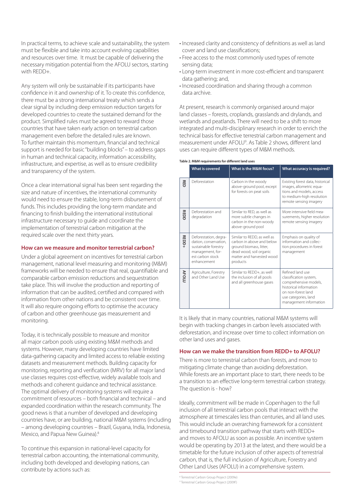In practical terms, to achieve scale and sustainability, the system must be flexible and take into account evolving capabilities and resources over time. It must be capable of delivering the necessary mitigation potential from the AFOLU sectors, starting with REDD+.

Any system will only be sustainable if its participants have confidence in it and ownership of it. To create this confidence, there must be a strong international treaty which sends a clear signal by including deep emission reduction targets for developed countries to create the sustained demand for the product. Simplified rules must be agreed to reward those countries that have taken early action on terrestrial carbon management even before the detailed rules are known. To further maintain this momentum, financial and technical support is needed for basic "building blocks" – to address gaps in human and technical capacity, information accessibility, infrastructure, and expertise, as well as to ensure credibility and transparency of the system.

Once a clear international signal has been sent regarding the size and nature of incentives, the international community would need to ensure the stable, long-term disbursement of funds. This includes providing the long-term mandate and financing to finish building the international institutional infrastructure necessary to guide and coordinate the implementation of terrestrial carbon mitigation at the required scale over the next thirty years.

#### **How can we measure and monitor terrestrial carbon?**

Under a global agreement on incentives for terrestrial carbon management, national level measuring and monitoring (M&M) frameworks will be needed to ensure that real, quantifiable and comparable carbon emission reductions and sequestration take place. This will involve the production and reporting of information that can be audited, certified and compared with information from other nations and be consistent over time. It will also require ongoing efforts to optimise the accuracy of carbon and other greenhouse gas measurement and monitoring.

Today, it is technically possible to measure and monitor all major carbon pools using existing M&M methods and systems. However, many developing countries have limited data-gathering capacity and limited access to reliable existing datasets and measurement methods. Building capacity for monitoring, reporting and verification (MRV) for all major land use classes requires cost-effective, widely available tools and methods and coherent guidance and technical assistance. The optimal delivery of monitoring systems will require a commitment of resources – both financial and technical – and expanded coordination within the research community. The good news is that a number of developed and developing countries have, or are building, national M&M systems (including – among developing countries – Brazil, Guyana, India, Indonesia, Mexico, and Papua New Guinea).<sup>8</sup>

To continue this expansion in national-level capacity for terrestrial carbon accounting, the international community, including both developed and developing nations, can contribute by actions such as:

- Increased clarity and consistency of definitions as well as land cover and land use classifications;
- Free access to the most commonly used types of remote sensing data;
- Long-term investment in more cost-efficient and transparent data gathering; and,
- Increased coordination and sharing through a common data archive.

At present, research is commonly organised around major land classes – forests, croplands, grasslands and drylands, and wetlands and peatlands. There will need to be a shift to more integrated and multi-disciplinary research in order to enrich the technical basis for effective terrestrial carbon management and measurement under AFOLU<sup>9</sup>. As Table 2 shows, different land uses can require different types of M&M methods.

|              | <b>What is covered</b>                                                                                                        | What is the M&M focus?                                                                                                                                  | What accuracy is required?                                                                                                                                            |
|--------------|-------------------------------------------------------------------------------------------------------------------------------|---------------------------------------------------------------------------------------------------------------------------------------------------------|-----------------------------------------------------------------------------------------------------------------------------------------------------------------------|
| 贾            | Deforestation                                                                                                                 | Carbon in the woody<br>above-ground pool, except<br>for forests on peat soils                                                                           | Existing forest data, historical<br>images, allometric equa-<br>tions and models, access<br>to medium-high resolution<br>remote sensing imagery                       |
| <b>REDD</b>  | Deforestation and<br>degradation                                                                                              | Similar to RED, as well as<br>more subtle changes in<br>carbon in the non-woody<br>above-ground pool                                                    | More intensive field mea-<br>surements, higher resolution<br>remote sensing imagery                                                                                   |
| REDD+        | Deforestation, degra-<br>dation, conservation,<br>sustainable forestry<br>management, for-<br>est carbon stock<br>enhancement | Similar to REDD, as well as<br>carbon in above and below<br>ground biomass, litter,<br>dead wood, soil organic<br>matter and harvested wood<br>products | Emphasis on quality of<br>information and collec-<br>tion procedures in forest<br>management                                                                          |
| <b>AFOLU</b> | Agriculture, Forestry<br>and Other Land Use                                                                                   | Similar to REDD+, as well<br>the inclusion of all pools<br>and all greenhouse gases                                                                     | Refined land use<br>classification system,<br>comprehensive models,<br>historical information<br>on non-forest land<br>use categories, land<br>management information |

**Table 2. M&M requirements for different land uses**

It is likely that in many countries, national M&M systems will begin with tracking changes in carbon levels associated with deforestation, and increase over time to collect information on other land uses and gases.

#### **How can we make the transition from REDD+ to AFOLU?**

There is more to terrestrial carbon than forests, and more to mitigating climate change than avoiding deforestation. While forests are an important place to start, there needs to be a transition to an effective long-term terrestrial carbon strategy. The question is - how?

Ideally, commitment will be made in Copenhagen to the full inclusion of all terrestrial carbon pools that interact with the atmosphere at timescales less than centuries, and all land uses. This would include an overarching framework for a consistent and timebound transition pathway that starts with REDD+ and moves to AFOLU as soon as possible. An incentive system would be operating by 2013 at the latest, and there would be a timetable for the future inclusion of other aspects of terrestrial carbon, that is, the full inclusion of Agriculture, Forestry and Other Land Uses (AFOLU) in a comprehensive system.

<sup>8</sup> Terrestrial Carbon Group Project (2009e)

<sup>&</sup>lt;sup>9</sup> Terrestrial Carbon Group Project (2009f)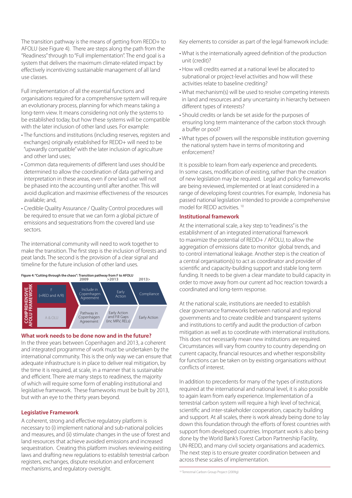The transition pathway is the means of getting from REDD+ to AFOLU (see Figure 4). There are steps along the path from the "Readiness" through to "Full implementation". The end goal is a system that delivers the maximum climate-related impact by effectively incentivizing sustainable management of all land use classes.

Full implementation of all the essential functions and organisations required for a comprehensive system will require an evolutionary process, planning for which means taking a long-term view. It means considering not only the systems to be established today, but how these systems will be compatible with the later inclusion of other land uses. For example:

- The functions and institutions (including reserves, registers and exchanges) originally established for REDD+ will need to be "upwardly compatible" with the later inclusion of agriculture and other land uses;
- Common data requirements of different land uses should be determined to allow the coordination of data gathering and interpretation in these areas, even if one land use will not be phased into the accounting until after another. This will avoid duplication and maximise effectiveness of the resources available; and,
- Credible Quality Assurance / Quality Control procedures will be required to ensure that we can form a global picture of emissions and sequestrations from the covered land use sectors.

The international community will need to work together to make the transition. The first step is the inclusion of forests and peat lands. The second is the provision of a clear signal and timeline for the future inclusion of other land uses.

**Figure 4: "Cutting through the chaos": Transition pathway from F to AFOLU**<br>2009 >2013

![](_page_5_Figure_7.jpeg)

#### **What work needs to be done now and in the future?**

In the three years between Copenhagen and 2013, a coherent and integrated programme of work must be undertaken by the international community. This is the only way we can ensure that adequate infrastructure is in place to deliver real mitigation, by the time it is required, at scale, in a manner that is sustainable and efficient. There are many steps to readiness, the majority of which will require some form of enabling institutional and legislative framework. These frameworks must be built by 2013, but with an eye to the thirty years beyond.

#### **Legislative Framework**

A coherent, strong and effective regulatory platform is necessary to (i) implement national and sub-national policies and measures, and (ii) stimulate changes in the use of forest and land resources that achieve avoided emissions and increased sequestration. Creating this platform involves reviewing existing laws and drafting new regulations to establish terrestrial carbon registers, exchanges, dispute resolution and enforcement mechanisms, and regulatory oversight.

Key elements to consider as part of the legal framework include:

- What is the internationally agreed definition of the production unit (credit)?
- How will credits earned at a national level be allocated to subnational or project-level activities and how will these activities relate to baseline crediting?
- What mechanism(s) will be used to resolve competing interests in land and resources and any uncertainty in hierarchy between different types of interests?
- Should credits or lands be set aside for the purposes of ensuring long term maintenance of the carbon stock through a buffer or pool?
- What types of powers will the responsible institution governing the national system have in terms of monitoring and enforcement?

It is possible to learn from early experience and precedents. In some cases, modification of existing, rather than the creation of new legislation may be required. Legal and policy frameworks are being reviewed, implemented or at least considered in a range of developing forest countries. For example, Indonesia has passed national legislation intended to provide a comprehensive model for REDD activities. 10

#### **Institutional framework**

At the international scale, a key step to "readiness" is the establishment of an integrated international framework to maximize the potential of REDD+ / AFOLU, to allow the aggregation of emissions date to monitor global trends, and to control international leakage. Another step is the creation of a central organisation(s) to act as coordinator and provider of scientific and capacity-building support and stable long term funding. It needs to be given a clear mandate to build capacity in order to move away from our current ad hoc reaction towards a coordinated and long-term response.

At the national scale, institutions are needed to establish clear governance frameworks between national and regional governments and to create credible and transparent systems and institutions to certify and audit the production of carbon mitigation as well as to coordinate with international institutions. This does not necessarily mean new institutions are required. Circumstances will vary from country to country depending on current capacity, financial resources and whether responsibility for functions can be taken on by existing organisations without conflicts of interest.

In addition to precedents for many of the types of institutions required at the international and national level, it is also possible to again learn from early experience. Implementation of a terrestrial carbon system will require a high level of technical, scientific and inter-stakeholder cooperation, capacity building and support. At all scales, there is work already being done to lay down this foundation through the efforts of forest countries with support from developed countries. Important work is also being done by the World Bank's Forest Carbon Partnership Facility, UN-REDD, and many civil society organisations and academics. The next step is to ensure greater coordination between and across these scales of implementation.

10 Terrestrial Carbon Group Project (2009g)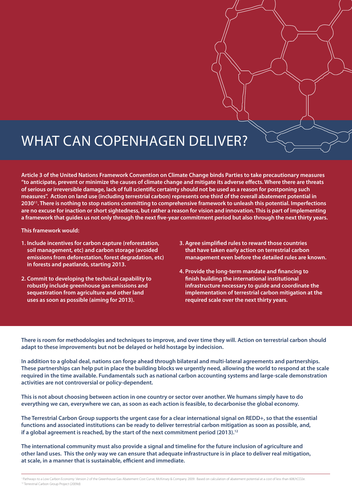### WHAT CAN COPENHAGEN DELIVER?

**Article 3 of the United Nations Framework Convention on Climate Change binds Parties to take precautionary measures "to anticipate, prevent or minimize the causes of climate change and mitigate its adverse effects. Where there are threats of serious or irreversible damage, lack of full scientific certainty should not be used as a reason for postponing such measures". Action on land use (including terrestrial carbon) represents one third of the overall abatement potential in 203011. There is nothing to stop nations committing to comprehensive framework to unleash this potential. Imperfections are no excuse for inaction or short sightedness, but rather a reason for vision and innovation. This is part of implementing a framework that guides us not only through the next five-year commitment period but also through the next thirty years.** 

**This framework would:** 

- **1. Include incentives for carbon capture (reforestation, soil management, etc) and carbon storage (avoided emissions from deforestation, forest degradation, etc) in forests and peatlands, starting 2013.**
- **2. Commit to developing the technical capability to robustly include greenhouse gas emissions and sequestration from agriculture and other land uses as soon as possible (aiming for 2013).**
- **3. Agree simplified rules to reward those countries that have taken early action on terrestrial carbon management even before the detailed rules are known.**
- **4. Provide the long-term mandate and financing to finish building the international institutional infrastructure necessary to guide and coordinate the implementation of terrestrial carbon mitigation at the required scale over the next thirty years.**

**There is room for methodologies and techniques to improve, and over time they will. Action on terrestrial carbon should adapt to these improvements but not be delayed or held hostage by indecision.** 

**In addition to a global deal, nations can forge ahead through bilateral and multi-lateral agreements and partnerships. These partnerships can help put in place the building blocks we urgently need, allowing the world to respond at the scale required in the time available. Fundamentals such as national carbon accounting systems and large-scale demonstration activities are not controversial or policy-dependent.**

**This is not about choosing between action in one country or sector over another. We humans simply have to do everything we can, everywhere we can, as soon as each action is feasible, to decarbonise the global economy.** 

**The Terrestrial Carbon Group supports the urgent case for a clear international signal on REDD+, so that the essential functions and associated institutions can be ready to deliver terrestrial carbon mitigation as soon as possible, and, if a global agreement is reached, by the start of the next commitment period (2013).12**

**The international community must also provide a signal and timeline for the future inclusion of agriculture and other land uses. This the only way we can ensure that adequate infrastructure is in place to deliver real mitigation, at scale, in a manner that is sustainable, efficient and immediate.** 

<sup>&</sup>lt;sup>1</sup> Pathways to a Low Carbon Economy: Version 2 of the Greenhouse Gas Abatement Cost Curve, McKinsey & Company 2009. Based on calculation of abatement potential at a cost of less than 60€/tCO2e. 12 Terrestrial Carbon Group Project (2009d)